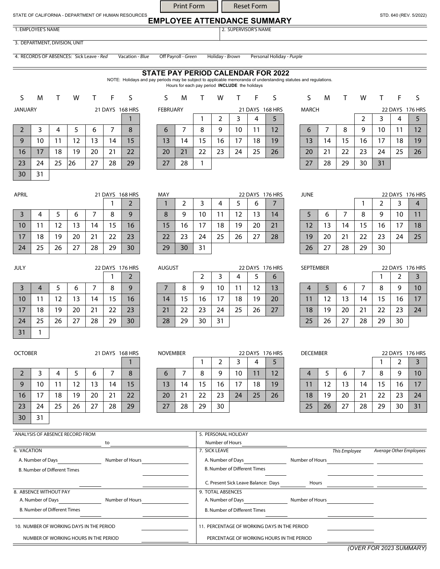## **EMPLOYEE ATTENDANCE SUMMARY**  Print Form | Reset Form

1. EMPLOYEE'S NAME 2. SUPERVISOR'S NAME

STATE OF CALIFORNIA - DEPARTMENT OF HUMAN RESOURCES

30 31

3. DEPARTMENT, DIVISION, UNIT

4. RECORDS OF ABSENCES: Sick Leave - *Red* Vacation - *Blue* Off Payroll - *Green* Holiday - *Brown* Personal Holiday - *Purple*

## **STATE PAY PERIOD CALENDAR FOR 2022**

NOTE: Holidays and pay periods may be subject to applicable memoranda of understanding statutes and regulations. Hours for each pay period **INCLUDE** the holidays

S M T W T F S JANUARY 21 DAYS 168 HRS 2 3 4 5 6 7 8 9 | 10 | 11 | 12 | 13 | 14 | 15 16 17 18 19 20 21 22 23 24 25 26 27 28 29

| <b>FEBRUARY</b> |    |    |    |    | 21 DAYS 168 HRS |    |
|-----------------|----|----|----|----|-----------------|----|
|                 |    |    | 2  | 3  |                 | 5  |
| 6               |    | 8  |    | 10 | 11              | 12 |
| 13              | 14 | 15 | 16 | 17 | 18              | 19 |
| 20              | 21 | 22 | 23 | 24 | 25              | 26 |
| 27              | 28 |    |    |    |                 |    |

| S            | M  |    | w  |    |    | S               |
|--------------|----|----|----|----|----|-----------------|
| <b>MARCH</b> |    |    |    |    |    | 22 DAYS 176 HRS |
|              |    |    | 2  | 3  |    |                 |
| 6            |    | 8  | 9  | 10 | 11 | 12              |
| 13           | 14 | 15 | 16 | 17 | 18 | 19              |
| 20           | 21 | 22 | 23 | 24 | 25 | 26              |
| 27           | 28 | 29 | 30 | 31 |    |                 |

| APRIL          |    |    | 21 DAYS 168 HRS |    |    |    |
|----------------|----|----|-----------------|----|----|----|
|                |    |    |                 |    |    | 2  |
| $\overline{3}$ |    | 5  | 6               |    | 8  | 9  |
| 10             | 11 | 12 | 13              | 14 | 15 | 16 |
| 17             | 18 | 19 | 20              | 21 | 22 | 23 |
| 24             | 25 | 26 | 27              | 28 | 29 | 30 |

| <b>IVIA</b> Y |    |    |    |    |    | ZZ DAIS 170 HRS |
|---------------|----|----|----|----|----|-----------------|
|               | 2  | 3  |    | 5  | 6  |                 |
| 8             | 9  | 10 | 11 | 12 | 13 | 14              |
| 15            | 16 | 17 | 18 | 19 | 20 | 21              |
| 22            | 23 | 24 | 25 | 26 | 27 | 28              |
| 29            | 30 | 31 |    |    |    |                 |

| <b>JUNE</b> |    |    |    |    |    | 22 DAYS 176 HRS |
|-------------|----|----|----|----|----|-----------------|
|             |    |    |    | 2  |    |                 |
| 5           | 6  |    | 8  | 9  | 10 | 11              |
| 12          | 13 | 14 | 15 | 16 | 17 | 18              |
| 19          | 20 | 21 | 22 | 23 | 24 | 25              |
| 26          | 27 | 28 | 29 | 30 |    |                 |

| <b>SEPTEMBER</b> |    |    |    | 22 DAYS 176 HRS |    |    |  |
|------------------|----|----|----|-----------------|----|----|--|
|                  |    |    |    | 2               | 3  |    |  |
|                  | 5  | 6  |    | 8               | 9  | 10 |  |
| 11               | 12 | 13 | 14 | 15              | 16 | 17 |  |
| 18               | 19 | 20 | 21 | 22              | 23 | 24 |  |
| 25               | 26 | 27 | 28 | 29              | 30 |    |  |

| <b>DECEMBER</b> |    |    | 22 DAYS 176 HRS |    |    |    |
|-----------------|----|----|-----------------|----|----|----|
|                 |    |    |                 | 2  |    |    |
|                 | 5  | 6  |                 | 8  | 9  | 10 |
| 11              | 12 | 13 | 14              | 15 | 16 | 17 |
| 18              | 19 | 20 | 21              | 22 | 23 | 24 |
| 25              | 26 | 27 | 28              | 29 | 30 | 31 |

| JULY           |    |    |    |    | 22 DAYS 176 HRS | Al |  |
|----------------|----|----|----|----|-----------------|----|--|
|                |    |    |    |    |                 | 2  |  |
| $\overline{3}$ |    | 5  | 6  |    | 8               | 9  |  |
| 10             | 11 | 12 | 13 | 14 | 15              | 16 |  |
| 17             | 18 | 19 | 20 | 21 | 22              | 23 |  |
| 24             | 25 | 26 | 27 | 28 | 29              | 30 |  |
| 31             |    |    |    |    |                 |    |  |

|    | <b>OCTOBER</b><br>21 DAYS 168 HRS |    |    |    |    |    |  |  |
|----|-----------------------------------|----|----|----|----|----|--|--|
|    |                                   |    |    |    |    |    |  |  |
| 2  | 3                                 | 4  | 5  | 6  |    | 8  |  |  |
| 9  | 10                                | 11 | 12 | 13 | 14 | 15 |  |  |
| 16 | 17                                | 18 | 19 | 20 | 21 | 22 |  |  |
| 23 | 24                                | 25 | 26 | 27 | 28 | 29 |  |  |
| 30 | 31                                |    |    |    |    |    |  |  |

| <b>NOVEMBER</b> |    |    |    |    | 22 DAYS 176 HRS |    |
|-----------------|----|----|----|----|-----------------|----|
|                 |    |    | 2  | 3  |                 |    |
| 6               |    | 8  | 9  | 10 | 11              | 12 |
| 13              | 14 | 15 | 16 | 17 | 18              | 19 |
| 20              | 21 | 22 | 23 | 24 | 25              | 26 |
| 27              | 28 | 29 | 30 |    |                 |    |

| ANALYSIS OF ABSENCE RECORD FROM          |                 | 5. PERSONAL HOLIDAY                          |                                           |               |                         |  |  |
|------------------------------------------|-----------------|----------------------------------------------|-------------------------------------------|---------------|-------------------------|--|--|
|                                          | to              | Number of Hours                              |                                           |               |                         |  |  |
| 6. VACATION                              |                 | 7. SICK LEAVE                                |                                           | This Employee | Average Other Employees |  |  |
| A. Number of Days                        | Number of Hours | A. Number of Days                            | Number of Hours                           |               |                         |  |  |
| <b>B. Number of Different Times</b>      |                 | <b>B. Number of Different Times</b>          |                                           |               |                         |  |  |
|                                          |                 | C. Present Sick Leave Balance: Days          | Hours                                     |               |                         |  |  |
| 8. ABSENCE WITHOUT PAY                   |                 | 9. TOTAL ABSENCES                            |                                           |               |                         |  |  |
| A. Number of Days                        | Number of Hours | A. Number of Days                            | Number of Hours                           |               |                         |  |  |
| <b>B. Number of Different Times</b>      |                 | <b>B. Number of Different Times</b>          |                                           |               |                         |  |  |
| 10. NUMBER OF WORKING DAYS IN THE PERIOD |                 | 11. PERCENTAGE OF WORKING DAYS IN THE PERIOD |                                           |               |                         |  |  |
| NUMBER OF WORKING HOURS IN THE PERIOD    |                 |                                              | PERCENTAGE OF WORKING HOURS IN THE PERIOD |               |                         |  |  |

*(OVER FOR 2023 SUMMARY)* 

STD. 640 (REV. 5/2022)

1 S M T W T F S

| 27  | 28 |    |    |    |    |                 |
|-----|----|----|----|----|----|-----------------|
|     |    |    |    |    |    |                 |
|     |    |    |    |    |    |                 |
| MAY |    |    |    |    |    | 22 DAYS 176 HRS |
|     | 2  | 3  |    |    | 6  |                 |
| ႙   |    | 10 | 11 | 12 | 13 |                 |

| AUGUST |    |    |    |    |    | 22 DAYS 176 HRS |
|--------|----|----|----|----|----|-----------------|
|        |    | 2  | 3  | 4  | 5  | 6               |
| 7      | 8  | 9  | 10 | 11 | 12 | 13              |
| 14     | 15 | 16 | 17 | 18 | 19 | 20              |
| 21     | 22 | 23 | 24 | 25 | 26 | 27              |
| 28     | 29 | 30 | 31 |    |    |                 |